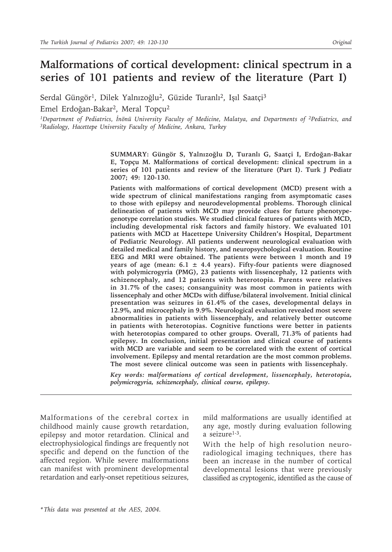# **Malformations of cortical development: clinical spectrum in a series of 101 patients and review of the literature (Part I)**

Serdal Güngör<sup>1</sup>, Dilek Yalnızoğlu<sup>2</sup>, Güzide Turanlı<sup>2</sup>, Işıl Saatçi<sup>3</sup> Emel Erdoğan-Bakar2, Meral Topçu2

*1Department of Pediatrics, İnönü University Faculty of Medicine, Malatya, and Departments of 2Pediatrics, and 3Radiology, Hacettepe University Faculty of Medicine, Ankara, Turkey*

> **SUMMARY: Güngör S, Yalnızoğlu D, Turanlı G, Saatçi I, Erdoğan-Bakar E, Topçu M. Malformations of cortical development: clinical spectrum in a series of 101 patients and review of the literature (Part I). Turk J Pediatr 2007; 49: 120-130.**

> **Patients with malformations of cortical development (MCD) present with a wide spectrum of clinical manifestations ranging from asymptomatic cases to those with epilepsy and neurodevelopmental problems. Thorough clinical delineation of patients with MCD may provide clues for future phenotypegenotype correlation studies. We studied clinical features of patients with MCD, including developmental risk factors and family history. We evaluated 101 patients with MCD at Hacettepe University Children's Hospital, Department of Pediatric Neurology. All patients underwent neurological evaluation with detailed medical and family history, and neuropsychological evaluation. Routine EEG and MRI were obtained. The patients were between 1 month and 19 years of age (mean: 6.1 ± 4.4 years). Fifty-four patients were diagnosed with polymicrogyria (PMG), 23 patients with lissencephaly, 12 patients with schizencephaly, and 12 patients with heterotopia. Parents were relatives in 31.7% of the cases; consanguinity was most common in patients with lissencephaly and other MCDs with diffuse/bilateral involvement. Initial clinical presentation was seizures in 61.4% of the cases, developmental delays in 12.9%, and microcephaly in 9.9%. Neurological evaluation revealed most severe abnormalities in patients with lissencephaly, and relatively better outcome in patients with heterotopias. Cognitive functions were better in patients with heterotopias compared to other groups. Overall, 71.3% of patients had epilepsy. In conclusion, initial presentation and clinical course of patients with MCD are variable and seem to be correlated with the extent of cortical involvement. Epilepsy and mental retardation are the most common problems. The most severe clinical outcome was seen in patients with lissencephaly.**

> *Key words: malformations of cortical development, lissencephaly, heterotopia, polymicrogyria, schizencephaly, clinical course, epilepsy.*

Malformations of the cerebral cortex in childhood mainly cause growth retardation, epilepsy and motor retardation. Clinical and electrophysiological findings are frequently not specific and depend on the function of the affected region. While severe malformations can manifest with prominent developmental retardation and early-onset repetitious seizures,

mild malformations are usually identified at any age, mostly during evaluation following a seizure<sup>1-3</sup>.

With the help of high resolution neuroradiological imaging techniques, there has been an increase in the number of cortical developmental lesions that were previously classified as cryptogenic, identified as the cause of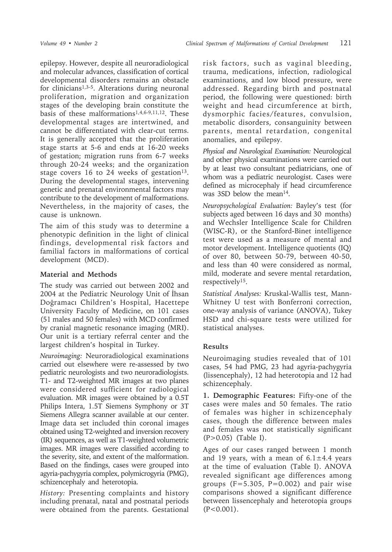epilepsy. However, despite all neuroradiological and molecular advances, classification of cortical developmental disorders remains an obstacle for clinicians1,3-5. Alterations during neuronal proliferation, migration and organization stages of the developing brain constitute the basis of these malformations1,4,6-9,11,12. These developmental stages are intertwined, and cannot be differentiated with clear-cut terms. It is generally accepted that the proliferation stage starts at 5-6 and ends at 16-20 weeks of gestation; migration runs from 6-7 weeks through 20-24 weeks; and the organization stage covers 16 to 24 weeks of gestation<sup>13</sup>. During the developmental stages, intervening genetic and prenatal environmental factors may contribute to the development of malformations. Nevertheless, in the majority of cases, the cause is unknown.

The aim of this study was to determine a phenotypic definition in the light of clinical findings, developmental risk factors and familial factors in malformations of cortical development (MCD).

### **Material and Methods**

The study was carried out between 2002 and 2004 at the Pediatric Neurology Unit of İhsan Doğramacı Children's Hospital, Hacettepe University Faculty of Medicine, on 101 cases (51 males and 50 females) with MCD confirmed by cranial magnetic resonance imaging (MRI). Our unit is a tertiary referral center and the largest children's hospital in Turkey.

*Neuroimaging:* Neuroradiological examinations carried out elsewhere were re-assessed by two pediatric neurologists and two neuroradiologists. T1- and T2-weighted MR images at two planes were considered sufficient for radiological evaluation. MR images were obtained by a 0.5T Philips Intera, 1.5T Siemens Symphony or 3T Siemens Allegra scanner available at our center. Image data set included thin coronal images obtained using T2-weighted and inversion recovery (IR) sequences, as well as T1-weighted volumetric images. MR images were classified according to the severity, site, and extent of the malformation. Based on the findings, cases were grouped into agyria-pachygyria complex, polymicrogyria (PMG), schizencephaly and heterotopia.

*History:* Presenting complaints and history including prenatal, natal and postnatal periods were obtained from the parents. Gestational

risk factors, such as vaginal bleeding, trauma, medications, infection, radiological examinations, and low blood pressure, were addressed. Regarding birth and postnatal period, the following were questioned: birth weight and head circumference at birth, dysmorphic facies/features, convulsion, metabolic disorders, consanguinity between parents, mental retardation, congenital anomalies, and epilepsy.

*Physical and Neurological Examination:* Neurological and other physical examinations were carried out by at least two consultant pediatricians, one of whom was a pediatric neurologist. Cases were defined as microcephaly if head circumference was 3SD below the mean<sup>14</sup>.

*Neuropsychological Evaluation:* Bayley's test (for subjects aged between 16 days and 30 months) and Wechsler Intelligence Scale for Children (WISC-R), or the Stanford-Binet intelligence test were used as a measure of mental and motor development. Intelligence quotients (IQ) of over 80, between 50-79, between 40-50, and less than 40 were considered as normal, mild, moderate and severe mental retardation, respectively15.

*Statistical Analyses:* Kruskal-Wallis test, Mann-Whitney U test with Bonferroni correction, one-way analysis of variance (ANOVA), Tukey HSD and chi-square tests were utilized for statistical analyses.

## **Results**

Neuroimaging studies revealed that of 101 cases, 54 had PMG, 23 had agyria-pachygyria (lissencephaly), 12 had heterotopia and 12 had schizencephaly.

**1. Demographic Features:** Fifty-one of the cases were males and 50 females. The ratio of females was higher in schizencephaly cases, though the difference between males and females was not statistically significant (P>0.05) (Table I).

Ages of our cases ranged between 1 month and 19 years, with a mean of  $6.1 \pm 4.4$  years at the time of evaluation (Table I). ANOVA revealed significant age differences among groups  $(F=5.305, P=0.002)$  and pair wise comparisons showed a significant difference between lissencephaly and heterotopia groups  $(P<0.001)$ .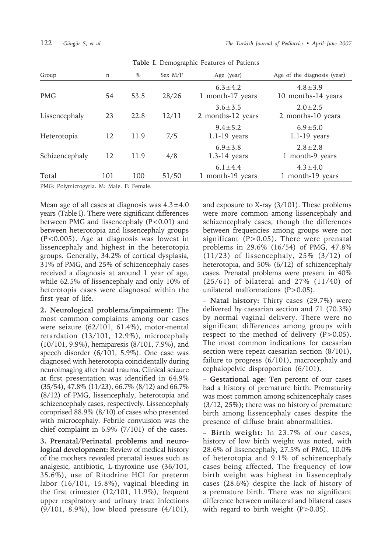| Group          | $\mathbf n$ | $\%$ | Sex $M/F$ | Age (year)                         | Age of the diagnosis (year)         |
|----------------|-------------|------|-----------|------------------------------------|-------------------------------------|
| <b>PMG</b>     | 54          | 53.5 | 28/26     | $6.3 \pm 4.2$<br>1 month-17 years  | $4.8 \pm 3.9$<br>10 months-14 years |
| Lissencephaly  | 23          | 22.8 | 12/11     | $3.6 \pm 3.5$<br>2 months-12 years | $2.0 \pm 2.5$<br>2 months-10 years  |
| Heterotopia    | 12          | 11.9 | 7/5       | $9.4 \pm 5.2$<br>$1.1-19$ years    | $6.9 \pm 5.0$<br>$1.1-19$ years     |
| Schizencephaly | 12          | 11.9 | 4/8       | $6.9 \pm 3.8$<br>$1.3-14$ years    | $2.8 \pm 2.8$<br>1 month-9 years    |
| Total          | 101         | 100  | 51/50     | $6.1 \pm 4.4$<br>1 month-19 years  | $4.3 \pm 4.0$<br>1 month-19 years   |

**Table I.** Demographic Features of Patients

PMG: Polymicrogyria. M: Male. F: Female.

Mean age of all cases at diagnosis was  $4.3 \pm 4.0$ years (Table I). There were significant differences between PMG and lissencephaly (P<0.01) and between heterotopia and lissencephaly groups (P<0.005). Age at diagnosis was lowest in lissencephaly and highest in the heterotopia groups. Generally, 34.2% of cortical dysplasia, 31% of PMG, and 25% of schizencephaly cases received a diagnosis at around 1 year of age, while 62.5% of lissencephaly and only 10% of heterotopia cases were diagnosed within the first year of life.

**2. Neurological problems/impairment:** The most common complaints among our cases were seizure (62/101, 61.4%), motor-mental retardation (13/101, 12.9%), microcephaly (10/101, 9.9%), hemiparesis (8/101, 7.9%), and speech disorder (6/101, 5.9%). One case was diagnosed with heterotopia coincidentally during neuroimaging after head trauma. Clinical seizure at first presentation was identified in 64.9% (35/54), 47.8% (11/23), 66.7% (8/12) and 66.7% (8/12) of PMG, lissencephaly, heterotopia and schizencephaly cases, respectively. Lissencephaly comprised 88.9% (8/10) of cases who presented with microcephaly. Febrile convulsion was the chief complaint in 6.9% (7/101) of the cases.

**3. Prenatal/Perinatal problems and neurological development:** Review of medical history of the mothers revealed prenatal issues such as analgesic, antibiotic, L-thyroxine use (36/101, 35.6%), use of Ritodrine HCl for preterm labor (16/101, 15.8%), vaginal bleeding in the first trimester (12/101, 11.9%), frequent upper respiratory and urinary tract infections (9/101, 8.9%), low blood pressure (4/101), and exposure to X-ray (3/101). These problems were more common among lissencephaly and schizencephaly cases, though the differences between frequencies among groups were not significant ( $P > 0.05$ ). There were prenatal problems in 29.6% (16/54) of PMG, 47.8% (11/23) of lissencephaly, 25% (3/12) of heterotopia, and 50% (6/12) of schizencephaly cases. Prenatal problems were present in 40% (25/61) of bilateral and 27% (11/40) of unilateral malformations (P>0.05).

**– Natal history:** Thirty cases (29.7%) were delivered by caesarian section and 71 (70.3%) by normal vaginal delivery. There were no significant differences among groups with respect to the method of delivery  $(P>0.05)$ . The most common indications for caesarian section were repeat caesarian section  $(8/101)$ , failure to progress (6/101), macrocephaly and cephalopelvic disproportion (6/101).

**– Gestational age:** Ten percent of our cases had a history of premature birth. Prematurity was most common among schizencephaly cases (3/12, 25%); there was no history of premature birth among lissencephaly cases despite the presence of diffuse brain abnormalities.

**– Birth weight:** In 23.7% of our cases, history of low birth weight was noted, with 28.6% of lissencephaly, 27.5% of PMG, 10.0% of heterotopia and 9.1% of schizencephaly cases being affected. The frequency of low birth weight was highest in lissencephaly cases (28.6%) despite the lack of history of a premature birth. There was no significant difference between unilateral and bilateral cases with regard to birth weight  $(P>0.05)$ .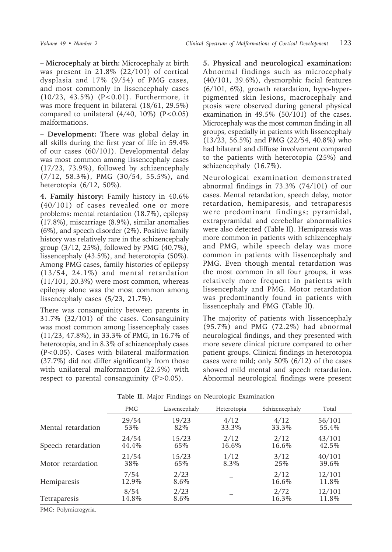**– Microcephaly at birth:** Microcephaly at birth was present in 21.8% (22/101) of cortical dysplasia and 17% (9/54) of PMG cases, and most commonly in lissencephaly cases (10/23, 43.5%) (P<0.01). Furthermore, it was more frequent in bilateral (18/61, 29.5%) compared to unilateral  $(4/40, 10\%)$   $(P<0.05)$ malformations.

**– Development:** There was global delay in all skills during the first year of life in 59.4% of our cases (60/101). Developmental delay was most common among lissencephaly cases (17/23, 73.9%), followed by schizencephaly (7/12, 58.3%), PMG (30/54, 55.5%), and heterotopia (6/12, 50%).

**4. Family history:** Family history in 40.6% (40/101) of cases revealed one or more problems: mental retardation (18.7%), epilepsy (17.8%), miscarriage (8.9%), similar anomalies (6%), and speech disorder (2%). Positive family history was relatively rare in the schizencephaly group (3/12, 25%), followed by PMG (40.7%), lissencephaly (43.5%), and heterotopia (50%). Among PMG cases, family histories of epilepsy (13/54, 24.1%) and mental retardation (11/101, 20.3%) were most common, whereas epilepsy alone was the most common among lissencephaly cases (5/23, 21.7%).

There was consanguinity between parents in 31.7% (32/101) of the cases. Consanguinity was most common among lissencephaly cases (11/23, 47.8%), in 33.3% of PMG, in 16.7% of heterotopia, and in 8.3% of schizencephaly cases (P<0.05). Cases with bilateral malformation (37.7%) did not differ significantly from those with unilateral malformation (22.5%) with respect to parental consanguinity  $(P>0.05)$ .

**5. Physical and neurological examination:**  Abnormal findings such as microcephaly (40/101, 39.6%), dysmorphic facial features (6/101, 6%), growth retardation, hypo-hyperpigmented skin lesions, macrocephaly and ptosis were observed during general physical examination in 49.5% (50/101) of the cases. Microcephaly was the most common finding in all groups, especially in patients with lissencephaly (13/23, 56.5%) and PMG (22/54, 40.8%) who had bilateral and diffuse involvement compared to the patients with heterotopia (25%) and schizencephaly (16.7%).

Neurological examination demonstrated abnormal findings in 73.3% (74/101) of our cases. Mental retardation, speech delay, motor retardation, hemiparesis, and tetraparesis were predominant findings; pyramidal, extrapyramidal and cerebellar abnormalities were also detected (Table II). Hemiparesis was more common in patients with schizencephaly and PMG, while speech delay was more common in patients with lissencephaly and PMG. Even though mental retardation was the most common in all four groups, it was relatively more frequent in patients with lissencephaly and PMG. Motor retardation was predominantly found in patients with lissencephaly and PMG (Table II).

The majority of patients with lissencephaly (95.7%) and PMG (72.2%) had abnormal neurological findings, and they presented with more severe clinical picture compared to other patient groups. Clinical findings in heterotopia cases were mild; only 50% (6/12) of the cases showed mild mental and speech retardation. Abnormal neurological findings were present

|                     | <b>PMG</b>    | Lissencephaly | Heterotopia | Schizencephaly | Total           |
|---------------------|---------------|---------------|-------------|----------------|-----------------|
| Mental retardation  | 29/54         | 19/23         | 4/12        | 4/12           | 56/101          |
|                     | 53\%          | 82\%          | 33.3%       | 33.3%          | 55.4\%          |
| Speech retardation  | 24/54         | 15/23         | 2/12        | 2/12           | 43/101          |
|                     | 44.4\%        | 65%           | 16.6%       | 16.6%          | 42.5%           |
| Motor retardation   | 21/54         | 15/23         | 1/12        | 3/12           | 40/101          |
|                     | 38\%          | 65%           | 8.3%        | 25\%           | 39.6%           |
| Hemiparesis         | 7/54<br>12.9% | 2/23<br>8.6%  |             | 2/12<br>16.6%  | 12/101<br>11.8% |
| <b>Tetraparesis</b> | 8/54<br>14.8% | 2/23<br>8.6%  |             | 2/72<br>16.3%  | 12/101<br>11.8% |

**Table II.** Major Findings on Neurologic Examination

PMG: Polymicrogyria.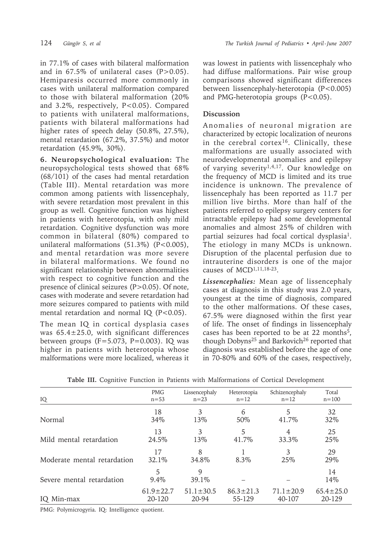in 77.1% of cases with bilateral malformation and in  $67.5\%$  of unilateral cases (P $>0.05$ ). Hemiparesis occurred more commonly in cases with unilateral malformation compared to those with bilateral malformation (20% and 3.2%, respectively, P<0.05). Compared to patients with unilateral malformations, patients with bilateral malformations had higher rates of speech delay (50.8%, 27.5%), mental retardation (67.2%, 37.5%) and motor retardation (45.9%, 30%).

**6. Neuropsychological evaluation:** The neuropsychological tests showed that 68% (68/101) of the cases had mental retardation (Table III). Mental retardation was more common among patients with lissencephaly, with severe retardation most prevalent in this group as well. Cognitive function was highest in patients with heterotopia, with only mild retardation. Cognitive dysfunction was more common in bilateral (80%) compared to unilateral malformations  $(51.3\%)$   $(P<0.005)$ , and mental retardation was more severe in bilateral malformations. We found no significant relationship between abnormalities with respect to cognitive function and the presence of clinical seizures (P>0.05). Of note, cases with moderate and severe retardation had more seizures compared to patients with mild mental retardation and normal IQ  $(P<0.05)$ .

The mean IQ in cortical dysplasia cases was  $65.4 \pm 25.0$ , with significant differences between groups  $(F=5.073, P=0.003)$ . IQ was higher in patients with heterotopia whose malformations were more localized, whereas it

was lowest in patients with lissencephaly who had diffuse malformations. Pair wise group comparisons showed significant differences between lissencephaly-heterotopia (P<0.005) and PMG-heterotopia groups  $(P<0.05)$ .

# **Discussion**

Anomalies of neuronal migration are characterized by ectopic localization of neurons in the cerebral cortex16. Clinically, these malformations are usually associated with neurodevelopmental anomalies and epilepsy of varying severity1,4,17. Our knowledge on the frequency of MCD is limited and its true incidence is unknown. The prevalence of lissencephaly has been reported as 11.7 per million live births. More than half of the patients referred to epilepsy surgery centers for intractable epilepsy had some developmental anomalies and almost 25% of children with partial seizures had focal cortical dysplasia1. The etiology in many MCDs is unknown. Disruption of the placental perfusion due to intrauterine disorders is one of the major causes of MCD1,11,18-23.

*Lissencephalies:* Mean age of lissencephaly cases at diagnosis in this study was 2.0 years, youngest at the time of diagnosis, compared to the other malformations. Of these cases, 67.5% were diagnosed within the first year of life. The onset of findings in lissencephaly cases has been reported to be at 22 months<sup>5</sup>, though Dobyns<sup>25</sup> and Barkovich<sup>26</sup> reported that diagnosis was established before the age of one in 70-80% and 60% of the cases, respectively,

| IQ                          | <b>PMG</b>      | Lissencephaly   | Heterotopia     | Schizencephaly  | Total           |
|-----------------------------|-----------------|-----------------|-----------------|-----------------|-----------------|
|                             | $n = 53$        | $n=23$          | $n=12$          | $n=12$          | $n = 100$       |
| Normal                      | 18              | 3               | 6               | 5               | 32              |
|                             | 34\%            | 13\%            | 50%             | 41.7%           | 32\%            |
| Mild mental retardation     | 13              | 3               | 5               | 4               | 25              |
|                             | 24.5%           | 13\%            | 41.7%           | 33.3%           | 25%             |
| Moderate mental retardation | 17<br>32.1%     | 8<br>34.8%      | 8.3%            | 3<br>25\%       | 29<br>29%       |
| Severe mental retardation   | 5<br>$9.4\%$    | 9<br>39.1\%     |                 |                 | 14<br>14\%      |
| IQ Min-max                  | $61.9 \pm 22.7$ | $51.1 \pm 30.5$ | $86.3 \pm 21.3$ | $71.1 \pm 20.9$ | $65.4 \pm 25.0$ |
|                             | 20-120          | 20-94           | 55-129          | 40-107          | 20-129          |

**Table III.** Cognitive Function in Patients with Malformations of Cortical Development

PMG: Polymicrogyria. IQ: Intelligence quotient.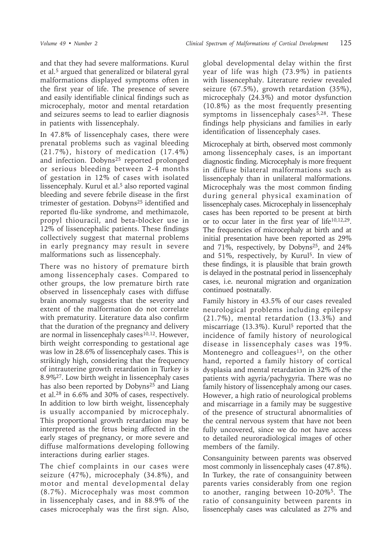and that they had severe malformations. Kurul et al.5 argued that generalized or bilateral gyral malformations displayed symptoms often in the first year of life. The presence of severe and easily identifiable clinical findings such as microcephaly, motor and mental retardation and seizures seems to lead to earlier diagnosis in patients with lissencephaly.

In 47.8% of lissencephaly cases, there were prenatal problems such as vaginal bleeding (21.7%), history of medication (17.4%) and infection. Dobyns<sup>25</sup> reported prolonged or serious bleeding between 2-4 months of gestation in 12% of cases with isolated lissencephaly. Kurul et al.<sup>5</sup> also reported vaginal bleeding and severe febrile disease in the first trimester of gestation. Dobyns<sup>25</sup> identified and reported flu-like syndrome, and methimazole, propyl thiouracil, and beta-blocker use in 12% of lissencephalic patients. These findings collectively suggest that maternal problems in early pregnancy may result in severe malformations such as lissencephaly.

There was no history of premature birth among lissencephaly cases. Compared to other groups, the low premature birth rate observed in lissencephaly cases with diffuse brain anomaly suggests that the severity and extent of the malformation do not correlate with prematurity. Literature data also confirm that the duration of the pregnancy and delivery are normal in lissencephaly cases $10,12$ . However, birth weight corresponding to gestational age was low in 28.6% of lissencephaly cases. This is strikingly high, considering that the frequency of intrauterine growth retardation in Turkey is 8.9%27. Low birth weight in lissencephaly cases has also been reported by Dobyns<sup>25</sup> and Liang et al.28 in 6.6% and 30% of cases, respectively. In addition to low birth weight, lissencephaly is usually accompanied by microcephaly. This proportional growth retardation may be interpreted as the fetus being affected in the early stages of pregnancy, or more severe and diffuse malformations developing following interactions during earlier stages.

The chief complaints in our cases were seizure (47%), microcephaly (34.8%), and motor and mental developmental delay (8.7%). Microcephaly was most common in lissencephaly cases, and in 88.9% of the cases microcephaly was the first sign. Also,

global developmental delay within the first year of life was high (73.9%) in patients with lissencephaly. Literature review revealed seizure (67.5%), growth retardation (35%), microcephaly (24.3%) and motor dysfunction (10.8%) as the most frequently presenting symptoms in lissencephaly cases $5,28$ . These findings help physicians and families in early identification of lissencephaly cases.

Microcephaly at birth, observed most commonly among lissencephaly cases, is an important diagnostic finding. Microcephaly is more frequent in diffuse bilateral malformations such as lissencephaly than in unilateral malformations. Microcephaly was the most common finding during general physical examination of lissencephaly cases. Microcephaly in lissencephaly cases has been reported to be present at birth or to occur later in the first year of life10,12,29. The frequencies of microcephaly at birth and at initial presentation have been reported as 29% and 71%, respectively, by Dobyns<sup>25</sup>, and  $24\%$ and 51%, respectively, by Kurul5. In view of these findings, it is plausible that brain growth is delayed in the postnatal period in lissencephaly cases, i.e. neuronal migration and organization continued postnatally.

Family history in 43.5% of our cases revealed neurological problems including epilepsy (21.7%), mental retardation (13.3%) and miscarriage (13.3%). Kurul<sup>5</sup> reported that the incidence of family history of neurological disease in lissencephaly cases was 19%. Montenegro and colleagues<sup>13</sup>, on the other hand, reported a family history of cortical dysplasia and mental retardation in 32% of the patients with agyria/pachygyria. There was no family history of lissencephaly among our cases. However, a high ratio of neurological problems and miscarriage in a family may be suggestive of the presence of structural abnormalities of the central nervous system that have not been fully uncovered, since we do not have access to detailed neuroradiological images of other members of the family.

Consanguinity between parents was observed most commonly in lissencephaly cases (47.8%). In Turkey, the rate of consanguinity between parents varies considerably from one region to another, ranging between 10-20%5. The ratio of consanguinity between parents in lissencephaly cases was calculated as 27% and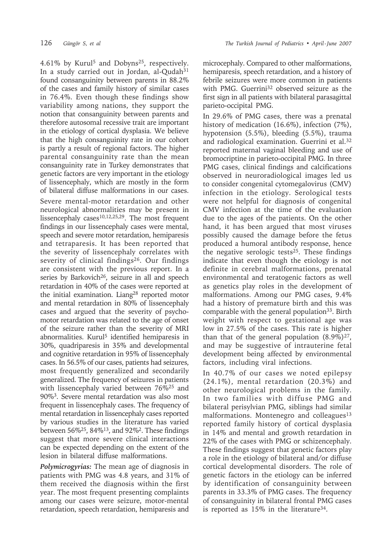4.61% by Kurul5 and Dobyns25, respectively. In a study carried out in Jordan, al-Qudah<sup>31</sup> found consanguinity between parents in 88.2% of the cases and family history of similar cases in 76.4%. Even though these findings show variability among nations, they support the notion that consanguinity between parents and therefore autosomal recessive trait are important in the etiology of cortical dysplasia. We believe that the high consanguinity rate in our cohort is partly a result of regional factors. The higher parental consanguinity rate than the mean consanguinity rate in Turkey demonstrates that genetic factors are very important in the etiology of lissencephaly, which are mostly in the form of bilateral diffuse malformations in our cases. Severe mental-motor retardation and other neurological abnormalities may be present in lissencephaly cases $10,12,25,29$ . The most frequent findings in our lissencephaly cases were mental, speech and severe motor retardation, hemiparesis and tetraparesis. It has been reported that the severity of lissencephaly correlates with severity of clinical findings<sup>26</sup>. Our findings are consistent with the previous report. In a series by Barkovich<sup>26</sup>, seizure in all and speech retardation in 40% of the cases were reported at the initial examination. Liang<sup>28</sup> reported motor and mental retardation in 80% of lissencephaly cases and argued that the severity of psychomotor retardation was related to the age of onset of the seizure rather than the severity of MRI abnormalities. Kurul<sup>5</sup> identified hemiparesis in 30%, quadriparesis in 35% and developmental and cognitive retardation in 95% of lissencephaly cases. In 56.5% of our cases, patients had seizures, most frequently generalized and secondarily generalized. The frequency of seizures in patients with lissencephaly varied between 76%<sup>25</sup> and 90%3. Severe mental retardation was also most frequent in lissencephaly cases. The frequency of mental retardation in lissencephaly cases reported by various studies in the literature has varied between 56%25, 84%13, and 92%2. These findings suggest that more severe clinical interactions can be expected depending on the extent of the lesion in bilateral diffuse malformations.

*Polymicrogyrias:* The mean age of diagnosis in patients with PMG was 4.8 years, and 31% of them received the diagnosis within the first year. The most frequent presenting complaints among our cases were seizure, motor-mental retardation, speech retardation, hemiparesis and

microcephaly. Compared to other malformations, hemiparesis, speech retardation, and a history of febrile seizures were more common in patients with PMG. Guerrini32 observed seizure as the first sign in all patients with bilateral parasagittal parieto-occipital PMG.

In 29.6% of PMG cases, there was a prenatal history of medication (16.6%), infection (7%), hypotension (5.5%), bleeding (5.5%), trauma and radiological examination. Guerrini et al.32 reported maternal vaginal bleeding and use of bromocriptine in parieto-occipital PMG. In three PMG cases, clinical findings and calcifications observed in neuroradiological images led us to consider congenital cytomegalovirus (CMV) infection in the etiology. Serological tests were not helpful for diagnosis of congenital CMV infection at the time of the evaluation due to the ages of the patients. On the other hand, it has been argued that most viruses possibly caused the damage before the fetus produced a humoral antibody response, hence the negative serologic tests $25$ . These findings indicate that even though the etiology is not definite in cerebral malformations, prenatal environmental and teratogenic factors as well as genetics play roles in the development of malformations. Among our PMG cases, 9.4% had a history of premature birth and this was comparable with the general population<sup>33</sup>. Birth weight with respect to gestational age was low in 27.5% of the cases. This rate is higher than that of the general population  $(8.9\%)^{27}$ , and may be suggestive of intrauterine fetal development being affected by environmental factors, including viral infections.

In 40.7% of our cases we noted epilepsy (24.1%), mental retardation (20.3%) and other neurological problems in the family. In two families with diffuse PMG and bilateral perisylvian PMG, siblings had similar malformations. Montenegro and colleagues<sup>13</sup> reported family history of cortical dysplasia in 14% and mental and growth retardation in 22% of the cases with PMG or schizencephaly. These findings suggest that genetic factors play a role in the etiology of bilateral and/or diffuse cortical developmental disorders. The role of genetic factors in the etiology can be inferred by identification of consanguinity between parents in 33.3% of PMG cases. The frequency of consanguinity in bilateral frontal PMG cases is reported as  $15\%$  in the literature<sup>34</sup>.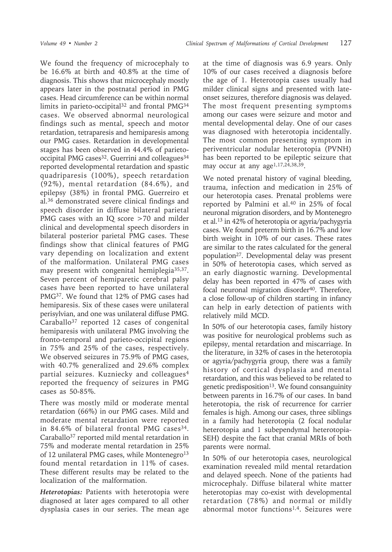We found the frequency of microcephaly to be 16.6% at birth and 40.8% at the time of diagnosis. This shows that microcephaly mostly appears later in the postnatal period in PMG cases. Head circumference can be within normal limits in parieto-occipital<sup>32</sup> and frontal PMG<sup>34</sup> cases. We observed abnormal neurological findings such as mental, speech and motor retardation, tetraparesis and hemiparesis among our PMG cases. Retardation in developmental stages has been observed in 44.4% of parietooccipital PMG cases<sup>32</sup>. Guerrini and colleagues<sup>34</sup> reported developmental retardation and spastic quadriparesis (100%), speech retardation (92%), mental retardation (84.6%), and epilepsy (38%) in frontal PMG. Guerreiro et al.36 demonstrated severe clinical findings and speech disorder in diffuse bilateral parietal PMG cases with an IQ score >70 and milder clinical and developmental speech disorders in bilateral posterior parietal PMG cases. These findings show that clinical features of PMG vary depending on localization and extent of the malformation. Unilateral PMG cases may present with congenital hemiplegia<sup>35,37</sup>. Seven percent of hemiparetic cerebral palsy cases have been reported to have unilateral PMG37. We found that 12% of PMG cases had hemiparesis. Six of these cases were unilateral perisylvian, and one was unilateral diffuse PMG. Caraballo37 reported 12 cases of congenital hemiparesis with unilateral PMG involving the fronto-temporal and parieto-occipital regions in 75% and 25% of the cases, respectively. We observed seizures in 75.9% of PMG cases, with 40.7% generalized and 29.6% complex partial seizures. Kuzniecky and colleagues<sup>4</sup> reported the frequency of seizures in PMG cases as 50-85%.

There was mostly mild or moderate mental retardation (66%) in our PMG cases. Mild and moderate mental retardation were reported in 84.6% of bilateral frontal PMG cases<sup>34</sup>. Caraballo37 reported mild mental retardation in 75% and moderate mental retardation in 25% of 12 unilateral PMG cases, while Montenegro<sup>13</sup> found mental retardation in 11% of cases. These different results may be related to the localization of the malformation.

*Heterotopias:* Patients with heterotopia were diagnosed at later ages compared to all other dysplasia cases in our series. The mean age at the time of diagnosis was 6.9 years. Only 10% of our cases received a diagnosis before the age of 1. Heterotopia cases usually had milder clinical signs and presented with lateonset seizures, therefore diagnosis was delayed. The most frequent presenting symptoms among our cases were seizure and motor and mental developmental delay. One of our cases was diagnosed with heterotopia incidentally. The most common presenting symptom in periventricular nodular heterotopia (PVNH) has been reported to be epileptic seizure that may occur at any age<sup>1,17,24,38,39</sup>.

We noted prenatal history of vaginal bleeding, trauma, infection and medication in 25% of our heterotopia cases. Prenatal problems were reported by Palmini et al.<sup>40</sup> in 25% of focal neuronal migration disorders, and by Montenegro et al.13 in 42% of heterotopia or agyria/pachygyria cases. We found preterm birth in 16.7% and low birth weight in 10% of our cases. These rates are similar to the rates calculated for the general population27. Developmental delay was present in 50% of heterotopia cases, which served as an early diagnostic warning. Developmental delay has been reported in 47% of cases with focal neuronal migration disorder<sup>40</sup>. Therefore, a close follow-up of children starting in infancy can help in early detection of patients with relatively mild MCD.

In 50% of our heterotopia cases, family history was positive for neurological problems such as epilepsy, mental retardation and miscarriage. In the literature, in 32% of cases in the heterotopia or agyria/pachygyria group, there was a family history of cortical dysplasia and mental retardation, and this was believed to be related to genetic predisposition<sup>13</sup>. We found consanguinity between parents in 16.7% of our cases. In band heterotopia, the risk of recurrence for carrier females is high. Among our cases, three siblings in a family had heterotopia (2 focal nodular heterotopia and 1 subependymal heterotopia-SEH) despite the fact that cranial MRIs of both parents were normal.

In 50% of our heterotopia cases, neurological examination revealed mild mental retardation and delayed speech. None of the patients had microcephaly. Diffuse bilateral white matter heterotopias may co-exist with developmental retardation (78%) and normal or mildly abnormal motor functions<sup>1,4</sup>. Seizures were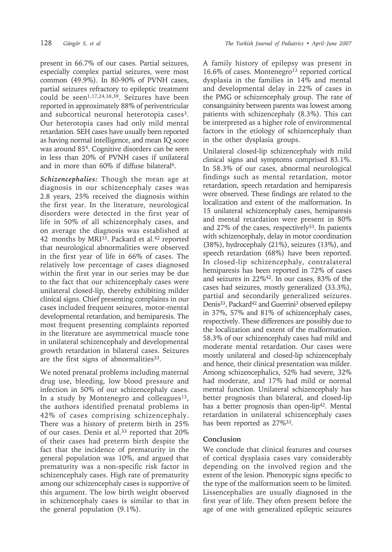present in 66.7% of our cases. Partial seizures, especially complex partial seizures, were most common (49.9%). In 80-90% of PVNH cases, partial seizures refractory to epileptic treatment could be seen<sup>1,17,24,38,39</sup>. Seizures have been reported in approximately 88% of periventricular and subcortical neuronal heterotopia cases<sup>3</sup>. Our heterotopia cases had only mild mental retardation. SEH cases have usually been reported as having normal intelligence, and mean IQ score was around 854. Cognitive disorders can be seen in less than 20% of PVNH cases if unilateral and in more than 60% if diffuse bilateral6.

*Schizencephalies:* Though the mean age at diagnosis in our schizencephaly cases was 2.8 years, 25% received the diagnosis within the first year. In the literature, neurological disorders were detected in the first year of life in 50% of all schizencephaly cases, and on average the diagnosis was established at 42 months by MRI<sup>33</sup>. Packard et al.<sup>42</sup> reported that neurological abnormalities were observed in the first year of life in 66% of cases. The relatively low percentage of cases diagnosed within the first year in our series may be due to the fact that our schizencephaly cases were unilateral closed-lip, thereby exhibiting milder clinical signs. Chief presenting complaints in our cases included frequent seizures, motor-mental developmental retardation, and hemiparesis. The most frequent presenting complaints reported in the literature are asymmetrical muscle tone in unilateral schizencephaly and developmental growth retardation in bilateral cases. Seizures are the first signs of abnormalities  $33$ .

We noted prenatal problems including maternal drug use, bleeding, low blood pressure and infection in 50% of our schizencephaly cases. In a study by Montenegro and colleagues<sup>13</sup>, the authors identified prenatal problems in 42% of cases comprising schizencephaly. There was a history of preterm birth in 25% of our cases. Denis et al.<sup>33</sup> reported that 20% of their cases had preterm birth despite the fact that the incidence of prematurity in the general population was 10%, and argued that prematurity was a non-specific risk factor in schizencephaly cases. High rate of prematurity among our schizencephaly cases is supportive of this argument. The low birth weight observed in schizencephaly cases is similar to that in the general population (9.1%).

A family history of epilepsy was present in 16.6% of cases. Montenegro<sup>13</sup> reported cortical dysplasia in the families in 14% and mental and developmental delay in 22% of cases in the PMG or schizencephaly group. The rate of consanguinity between parents was lowest among patients with schizencephaly (8.3%). This can be interpreted as a higher role of environmental factors in the etiology of schizencephaly than in the other dysplasia groups.

Unilateral closed-lip schizencephaly with mild clinical signs and symptoms comprised 83.1%. In 58.3% of our cases, abnormal neurological findings such as mental retardation, motor retardation, speech retardation and hemiparesis were observed. These findings are related to the localization and extent of the malformation. In 15 unilateral schizencephaly cases, hemiparesis and mental retardation were present in 80% and  $27\%$  of the cases, respectively<sup>33</sup>. In patients with schizencephaly, delay in motor coordination (38%), hydrocephaly (21%), seizures (13%), and speech retardation (68%) have been reported. In closed-lip schizencephaly, contralateral hemiparesis has been reported in 72% of cases and seizures in 22%42. In our cases, 83% of the cases had seizures, mostly generalized (33.3%), partial and secondarily generalized seizures. Denis<sup>33</sup>, Packard<sup>42</sup> and Guerrini<sup>3</sup> observed epilepsy in 37%, 57% and 81% of schizencephaly cases, respectively. These differences are possibly due to the localization and extent of the malformation. 58.3% of our schizencephaly cases had mild and moderate mental retardation. Our cases were mostly unilateral and closed-lip schizencephaly and hence, their clinical presentation was milder. Among schizencephalics, 52% had severe, 32% had moderate, and 17% had mild or normal mental function. Unilateral schizencephaly has better prognosis than bilateral, and closed-lip has a better prognosis than open-lip<sup>42</sup>. Mental retardation in unilateral schizencephaly cases has been reported as 27%33.

### **Conclusion**

We conclude that clinical features and courses of cortical dysplasia cases vary considerably depending on the involved region and the extent of the lesion. Phenotypic signs specific to the type of the malformation seem to be limited. Lissencephalies are usually diagnosed in the first year of life. They often present before the age of one with generalized epileptic seizures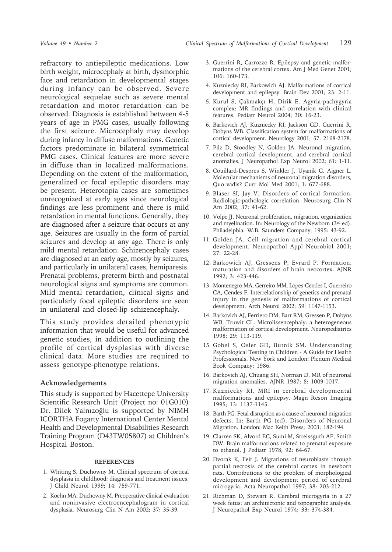refractory to antiepileptic medications. Low birth weight, microcephaly at birth, dysmorphic face and retardation in developmental stages during infancy can be observed. Severe neurological sequelae such as severe mental retardation and motor retardation can be observed. Diagnosis is established between 4-5 years of age in PMG cases, usually following the first seizure. Microcephaly may develop during infancy in diffuse malformations. Genetic factors predominate in bilateral symmetrical PMG cases. Clinical features are more severe in diffuse than in localized malformations. Depending on the extent of the malformation, generalized or focal epileptic disorders may be present. Heterotopia cases are sometimes unrecognized at early ages since neurological findings are less prominent and there is mild retardation in mental functions. Generally, they are diagnosed after a seizure that occurs at any age. Seizures are usually in the form of partial seizures and develop at any age. There is only mild mental retardation. Schizencephaly cases are diagnosed at an early age, mostly by seizures, and particularly in unilateral cases, hemiparesis. Prenatal problems, preterm birth and postnatal neurological signs and symptoms are common. Mild mental retardation, clinical signs and particularly focal epileptic disorders are seen in unilateral and closed-lip schizencephaly.

This study provides detailed phenotypic information that would be useful for advanced genetic studies, in addition to outlining the profile of cortical dysplasias with diverse clinical data. More studies are required to assess genotype-phenotype relations.

#### **Acknowledgements**

This study is supported by Hacettepe University Scientific Research Unit (Project no: 01G010) Dr. Dilek Yalnızoğlu is supported by NIMH ICORTHA Fogarty International Center Mental Health and Developmental Disabilities Research Training Program (D43TW05807) at Children's Hospital Boston.

#### **REFERENCES**

- 1. Whiting S, Duchowny M. Clinical spectrum of cortical dysplasia in childhood: diagnosis and treatment issues. J Child Neurol 1999; 14: 759-771.
- 2. Koehn MA, Duchowny M. Preoperative clinical evaluation and noninvasive electroencephalogram in cortical dysplasia. Neurosurg Clin N Am 2002; 37: 35-39.
- 3. Guerrini R, Carrozzo R. Epilepsy and genetic malformations of the cerebral cortex. Am J Med Genet 2001; 106: 160-173.
- 4. Kuzniecky RI, Barkowich AJ. Malformations of cortical development and epilepsy. Brain Dev 2001; 23: 2-11.
- 5. Kurul S, Çakmakçı H, Dirik E. Agyria-pachygyria complex: MR findings and correlation with clinical features. Pediatr Neurol 2004; 30: 16-23.
- 6. Barkovich AJ, Kuzniecky RI, Jackson GD, Guerrini R, Dobyns WB. Classification system for malformations of cortical development. Neurology 2001; 57: 2168-2178.
- 7. Pılz D, Stoodley N, Golden JA. Neuronal migration, cerebral cortical development, and cerebral cortical anomalies. J Neuropathol Exp Neurol 2002; 61: 1-11.
- 8. Couillard-Despres S, Winkler J, Uyanik G, Aigner L. Molecular mechanisms of neuronal migration disorders, Quo vadis? Curr Mol Med 2001; 1: 677-688.
- 9. Blaser SI, Jay V. Disorders of cortical formation. Radiologic-pathologic correlation. Neurosurg Clin N Am 2002; 37: 41-62.
- 10. Volpe JJ. Neuronal proliferation, migration, organization and myelination. In: Neurology of the Newborn (3rd ed). Philadelphia: W.B. Saunders Company; 1995: 43-92.
- 11. Golden JA. Cell migration and cerebral cortical development. Neuropathol Appl Neurobiol 2001; 27: 22-28.
- 12. Barkowich AJ, Gressens P, Evrard P. Formation, maturation and disorders of brain neocortex. AJNR 1992; 3: 423-446.
- 13. Montenegro MA, Gerreiro MM, Lopes-Cendes I, Guerreiro CA, Cendes F. Interrelationship of genetics and prenatal injury in the genesis of malformations of cortical development. Arch Neurol 2002; 59: 1147-1153.
- 14. Barkovich AJ, Ferriero DM, Barr RM, Gressen P, Dobyns WB, Truwit CL. Microlissencephaly: a heterogeneous malformation of cortical development. Neuropediatrics 1998; 29: 113-119.
- 15. Gobel S, Osler GD, Butnik SM. Understanding Psychological Testing in Children - A Guide for Health Professionals. New York and London: Plenum Medical Book Company; 1986.
- 16. Barkovich AJ, Chuang SH, Norman D. MR of neuronal migration anomalies. AJNR 1987; 8: 1009-1017.
- 17. Kuzniecky RI. MRI in cerebral developmental malformations and epilepsy. Magn Reson Imaging 1995; 13: 1137-1145.
- 18. Barth PG. Fetal disruption as a cause of neuronal migration defects. In: Barth PG (ed). Disorders of Neuronal Migration. London: Mac Keith Press; 2003: 182-194.
- 19. Clarren SK, Alvord EC, Sumi M, Streissguth AP, Smith DW. Brain malformations related to prenatal exposure to ethanol. J Pediatr 1978; 92: 64-67.
- 20. Dvorak K, Feit J. Migrations of neuroblasts through partial necrosis of the cerebral cortex in newborn rats. Contributions to the problem of morphological development and development period of cerebral microgyria. Acta Neuropathol 1997; 38: 203-212.
- 21. Richman D, Stewart R. Cerebral microgyria in a 27 week fetus: an architectonic and topographic analysis. J Neuropathol Exp Neurol 1974; 33: 374-384.